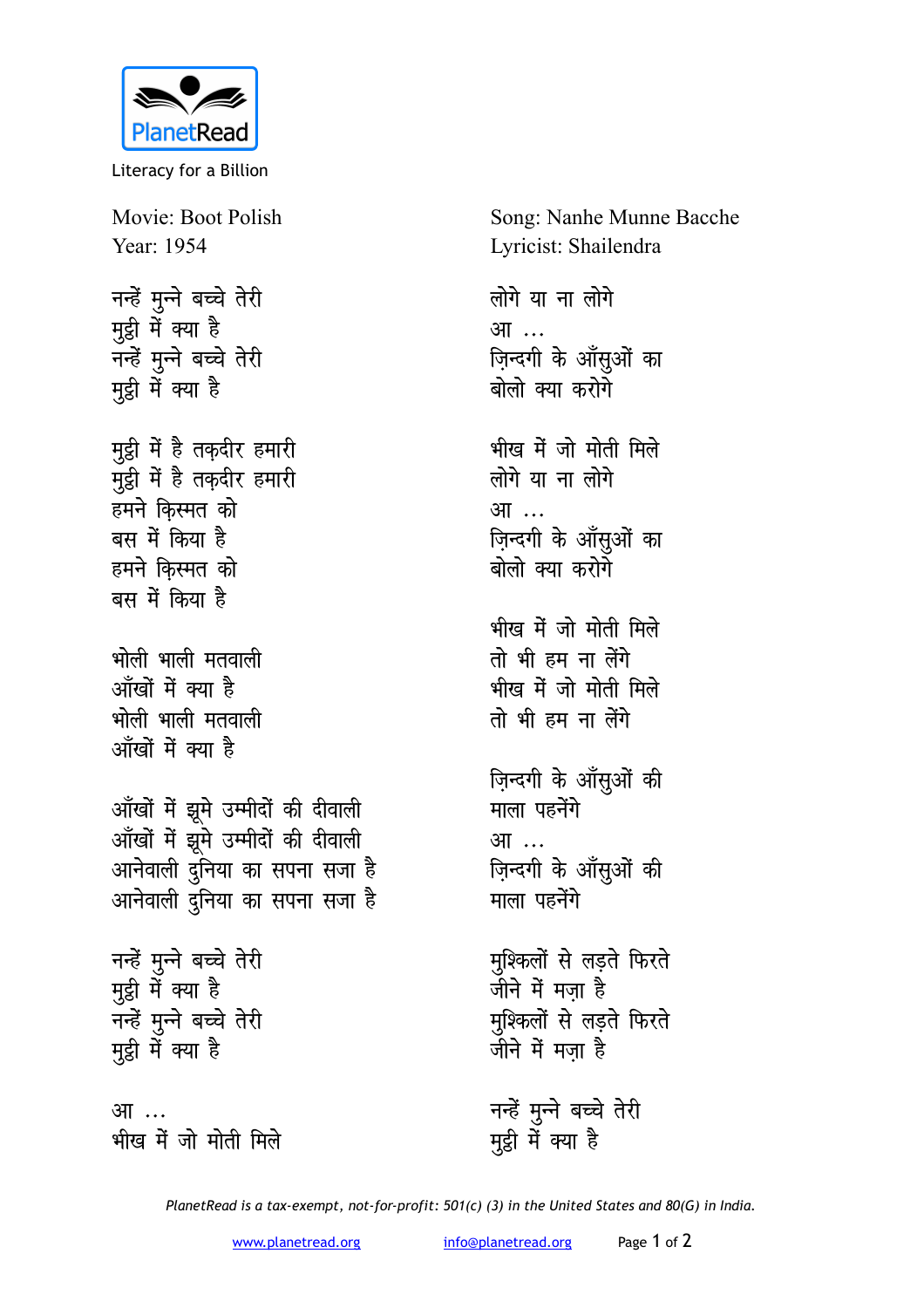

Literacy for a Billion

Movie: Boot Polish Year: 1954

नन्हें मुन्ने बच्चे तेरी मुट्ठी में क्या है नन्हें मुन्ने बच्चे तेरी मुट्ठी में क्या है

मुट्ठी में है तक़दीर हमारी मुट्ठी में है तक़दीर हमारी हमने किस्मत को बस में किया है हमने किस्मत को बस में किया है

भोली भाली मतवाली आँखों में क्या है भोली भाली मतवाली ऑंखों में क्या है

आँखों में झुमे उम्मीदों की दीवाली आँखों में झूमे उम्मीदों की दीवाली आनेवाली दुनिया का सपना सजा है आनेवाली दुनिया का सपना सजा है

नन्हें मुन्ने बच्चे तेरी मुट्ठी में क्या है नन्हें मुन्ने बच्चे तेरी मुट्ठी में क्या है

आ ... भीख में जो मोती मिले Song: Nanhe Munne Bacche Lyricist: Shailendra

लोगे या ना लोगे आ ... ज़िन्दगी के आँसुओं का बोलो क्या करोगे

भीख में जो मोती मिले लोगे या ना लोगे आ … ज़िन्दगी के आँसुओं का बोलो क्या करोगे

भीख में जो मोती मिले तो भी हम ना लेंगे भीख में जो मोती मिले तो भी हम ना लेंगे

ज़िन्दगी के आँसूओं की माला पहनेंगे आ ... ज़िन्दगी के आँसुओं की माला पहनेंगे

मुश्किलों से लड़ते फिरते जीने में मजा है मुश्किलों से लड़ते फिरते जीने में मजा है

नन्हें मुन्ने बच्चे तेरी मुट्ठी में क्या है

PlanetRead is a tax-exempt, not-for-profit: 501(c) (3) in the United States and 80(G) in India.